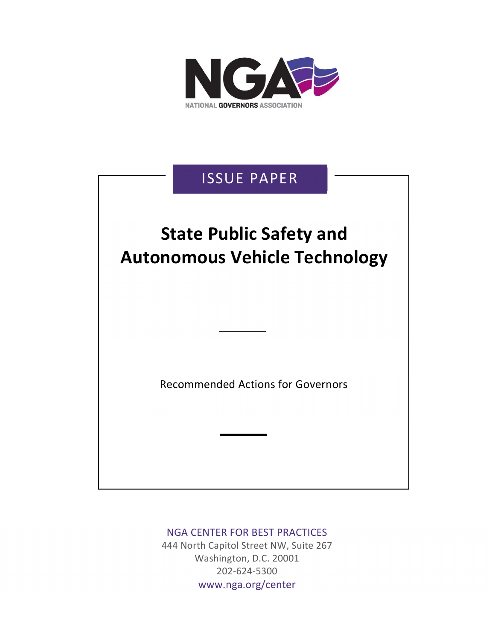

## ISSUE PAPER

## State Public Safety and Autonomous Vehicle Technology

Recommended Actions for Governors

## NGA CENTER FOR BEST PRACTICES

444 North Capitol Street NW, Suite 267 Washington, D.C. 20001 202-624-5300 www.nga.org/center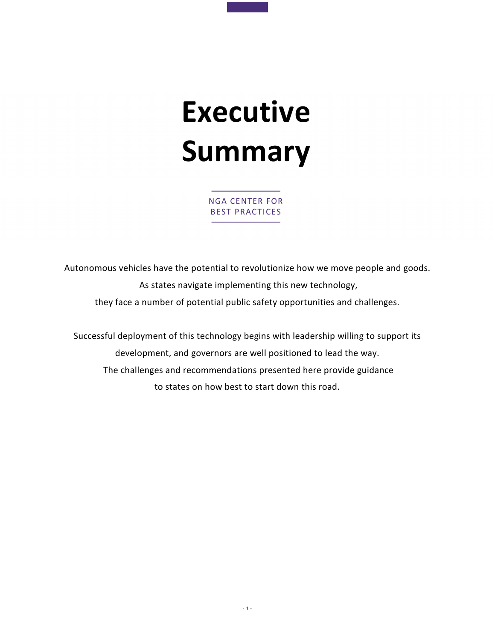# Executive Summary

NGA CENTER FOR BEST PRACTICES

Autonomous vehicles have the potential to revolutionize how we move people and goods. As states navigate implementing this new technology, they face a number of potential public safety opportunities and challenges.

Successful deployment of this technology begins with leadership willing to support its development, and governors are well positioned to lead the way. The challenges and recommendations presented here provide guidance to states on how best to start down this road.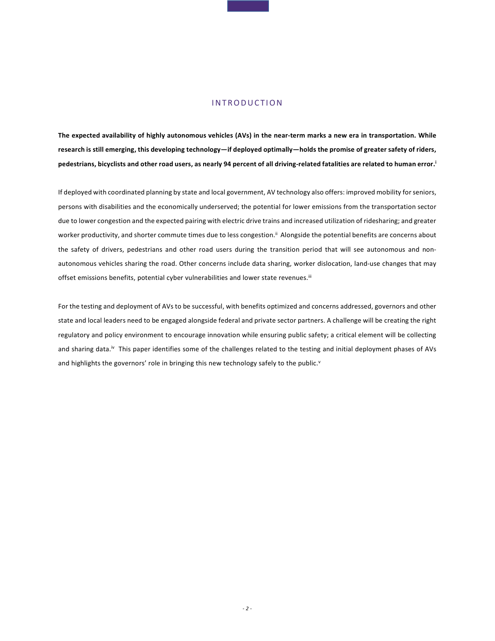### **INTRODUCTION**

The expected availability of highly autonomous vehicles (AVs) in the near-term marks a new era in transportation. While research is still emerging, this developing technology—if deployed optimally—holds the promise of greater safety of riders, pedestrians, bicyclists and other road users, as nearly 94 percent of all driving-related fatalities are related to human error.<sup>i</sup>

If deployed with coordinated planning by state and local government, AV technology also offers: improved mobility for seniors, persons with disabilities and the economically underserved; the potential for lower emissions from the transportation sector due to lower congestion and the expected pairing with electric drive trains and increased utilization of ridesharing; and greater worker productivity, and shorter commute times due to less congestion.<sup>ii</sup> Alongside the potential benefits are concerns about the safety of drivers, pedestrians and other road users during the transition period that will see autonomous and nonautonomous vehicles sharing the road. Other concerns include data sharing, worker dislocation, land-use changes that may offset emissions benefits, potential cyber vulnerabilities and lower state revenues.<sup>iii</sup>

For the testing and deployment of AVs to be successful, with benefits optimized and concerns addressed, governors and other state and local leaders need to be engaged alongside federal and private sector partners. A challenge will be creating the right regulatory and policy environment to encourage innovation while ensuring public safety; a critical element will be collecting and sharing data.<sup>iv</sup> This paper identifies some of the challenges related to the testing and initial deployment phases of AVs and highlights the governors' role in bringing this new technology safely to the public. $v$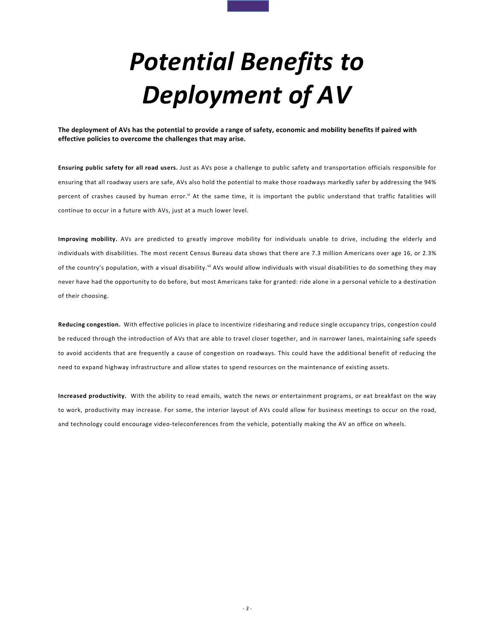## Potential Benefits to Deployment of AV

The deployment of AVs has the potential to provide a range of safety, economic and mobility benefits If paired with effective policies to overcome the challenges that may arise. al to provide a range of safety, economic and<br>enges that may arise.

Ensuring public safety for all road users. Just as AVs pose a challenge to public safety and transportation officials responsible for ensuring that all roadway users are safe, AVs also hold the potential to make those roadways markedly safer by addressing the 94% percent of crashes caused by human error.<sup>vi</sup> At the same time, it is important the public understand that traffic fatalities will continue to occur in a future with AVs, just at a much lower level.

Improving mobility. AVs are predicted to greatly improve mobility for individuals unable to drive, including the elderly and individuals with disabilities. The most recent Census Bureau data shows that there are 7.3 million Americans over age 16, or 2.3% of the country's population, with a visual disability.<sup>vii</sup> AVs would allow individuals with visual disabilities to do something they may never have had the opportunity to do before, but most Americans take for granted: ride alone in a personal vehicle to a destination of their choosing.

Reducing congestion. With effective policies in place to incentivize ridesharing and reduce single occupancy trips, congestion could be reduced through the introduction of AVs that are able to travel closer together, and in narrower lanes, maintaining safe speeds to avoid accidents that are frequently a cause of congestion on roadways. This could have the additional benefit of reducing the need to expand highway infrastructure and allow states to spend resources on the maintenance of existing assets.

Increased productivity. With the ability to read emails, watch the news or entertainment programs, or eat breakfast on the way to work, productivity may increase. For some, the interior layout of AVs could allow for business meetings to occur on the road, and technology could encourage video-teleconferences from the vehicle, potentially making the AV an office on wheels.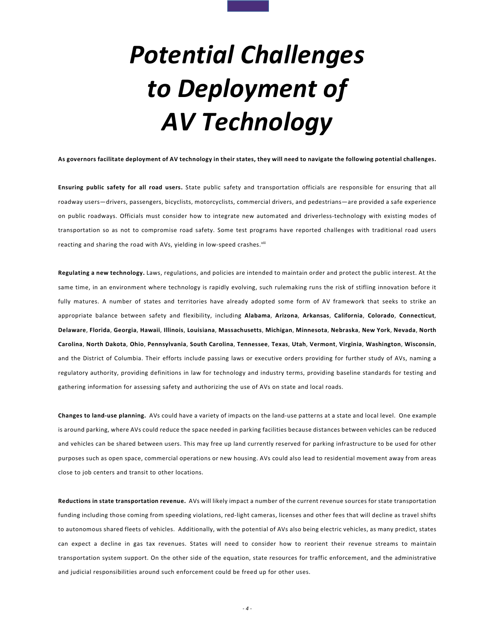## Potential Challenges to Deployment of AV Technology

As governors facilitate deployment of AV technology in their states, they will need to navigate the following potential challenges.

Ensuring public safety for all road users. State public safety and transportation officials are responsible for ensuring that all roadway users—drivers, passengers, bicyclists, motorcyclists, commercial drivers, and pedestrians—are provided a safe experience on public roadways. Officials must consider how to integrate new automated and driverless-technology with existing modes of transportation so as not to compromise road safety. Some test programs have reported challenges with traditional road users reacting and sharing the road with AVs, yielding in low-speed crashes.<sup>viii</sup>

Regulating a new technology. Laws, regulations, and policies are intended to maintain order and protect the public interest. At the same time, in an environment where technology is rapidly evolving, such rulemaking runs the risk of stifling innovation before it fully matures. A number of states and territories have already adopted some form of AV framework that seeks to strike an appropriate balance between safety and flexibility, including Alabama, Arizona, Arkansas, California, Colorado, Connecticut, Delaware, Florida, Georgia, Hawaii, Illinois, Louisiana, Massachusetts, Michigan, Minnesota, Nebraska, New York, Nevada, North Carolina, North Dakota, Ohio, Pennsylvania, South Carolina, Tennessee, Texas, Utah, Vermont, Virginia, Washington, Wisconsin, and the District of Columbia. Their efforts include passing laws or executive orders providing for further study of AVs, naming a regulatory authority, providing definitions in law for technology and industry terms, providing baseline standards for testing and gathering information for assessing safety and authorizing the use of AVs on state and local roads.

Changes to land-use planning. AVs could have a variety of impacts on the land-use patterns at a state and local level. One example is around parking, where AVs could reduce the space needed in parking facilities because distances between vehicles can be reduced and vehicles can be shared between users. This may free up land currently reserved for parking infrastructure to be used for other purposes such as open space, commercial operations or new housing. AVs could also lead to residential movement away from areas close to job centers and transit to other locations.

Reductions in state transportation revenue. AVs will likely impact a number of the current revenue sources for state transportation funding including those coming from speeding violations, red-light cameras, licenses and other fees that will decline as travel shifts to autonomous shared fleets of vehicles. Additionally, with the potential of AVs also being electric vehicles, as many predict, states can expect a decline in gas tax revenues. States will need to consider how to reorient their revenue streams to maintain transportation system support. On the other side of the equation, state resources for traffic enforcement, and the administrative and judicial responsibilities around such enforcement could be freed up for other uses.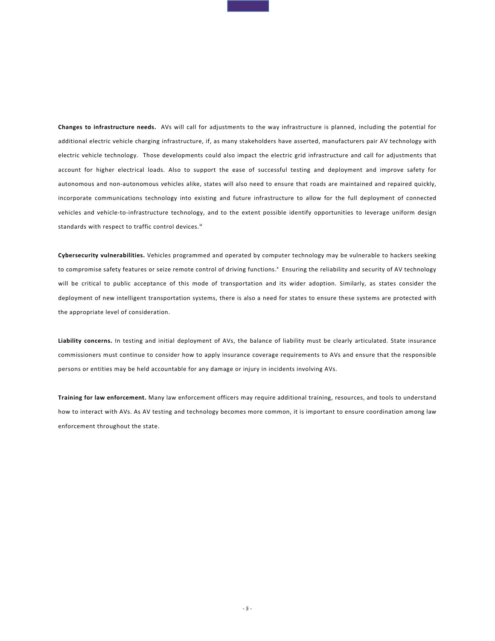Changes to infrastructure needs. AVs will call for adjustments to the way infrastructure is planned, including the potential for additional electric vehicle charging infrastructure, if, as many stakeholders have asserted, manufacturers pair AV technology with electric vehicle technology. Those developments could also impact the electric grid infrastructure and call for adjustments that account for higher electrical loads. Also to support the ease of successful testing and deployment and improve safety for autonomous and non-autonomous vehicles alike, states will also need to ensure that roads are maintained and repaired quickly, incorporate communications technology into existing and future infrastructure to allow for the full deployment of connected vehicles and vehicle-to-infrastructure technology, and to the extent possible identify opportunities to leverage uniform design standards with respect to traffic control devices.<sup>ix</sup>

Cybersecurity vulnerabilities. Vehicles programmed and operated by computer technology may be vulnerable to hackers seeking to compromise safety features or seize remote control of driving functions.<sup>x</sup> Ensuring the reliability and security of AV technology will be critical to public acceptance of this mode of transportation and its wider adoption. Similarly, as states consider the deployment of new intelligent transportation systems, there is also a need for states to ensure these systems are protected with the appropriate level of consideration.

Liability concerns. In testing and initial deployment of AVs, the balance of liability must be clearly articulated. State insurance commissioners must continue to consider how to apply insurance coverage requirements to AVs and ensure that the responsible persons or entities may be held accountable for any damage or injury in incidents involving AVs.

Training for law enforcement. Many law enforcement officers may require additional training, resources, and tools to understand how to interact with AVs. As AV testing and technology becomes more common, it is important to ensure coordination among law enforcement throughout the state.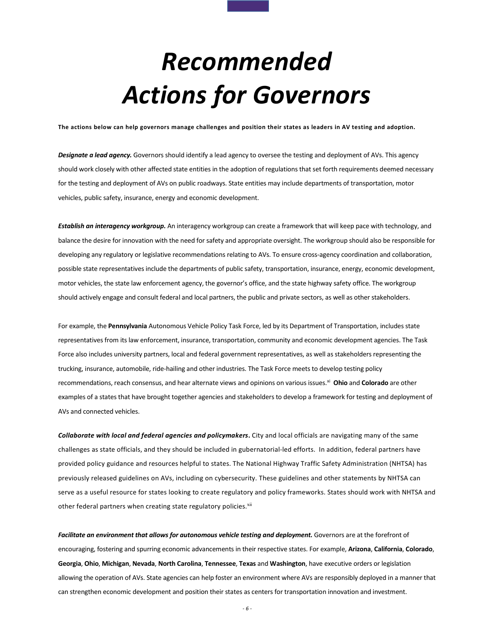## Recommended Actions for Governors

The actions below can help governors manage challenges and position their states as leaders in AV testing and adoption.

Designate a lead agency. Governors should identify a lead agency to oversee the testing and deployment of AVs. This agency should work closely with other affected state entities in the adoption of regulations that set forth requirements deemed necessary for the testing and deployment of AVs on public roadways. State entities may include departments of transportation, motor vehicles, public safety, insurance, energy and economic development.

Establish an interagency workgroup. An interagency workgroup can create a framework that will keep pace with technology, and balance the desire for innovation with the need for safety and appropriate oversight. The workgroup should also be responsible for developing any regulatory or legislative recommendations relating to AVs. To ensure cross-agency coordination and collaboration, possible state representatives include the departments of public safety, transportation, insurance, energy, economic development, motor vehicles, the state law enforcement agency, the governor's office, and the state highway safety office. The workgroup should actively engage and consult federal and local partners, the public and private sectors, as well as other stakeholders.

For example, the Pennsylvania Autonomous Vehicle Policy Task Force, led by its Department of Transportation, includes state representatives from its law enforcement, insurance, transportation, community and economic development agencies. The Task Force also includes university partners, local and federal government representatives, as well as stakeholders representing the trucking, insurance, automobile, ride-hailing and other industries. The Task Force meets to develop testing policy recommendations, reach consensus, and hear alternate views and opinions on various issues.<sup>xi</sup> Ohio and Colorado are other examples of a states that have brought together agencies and stakeholders to develop a framework for testing and deployment of AVs and connected vehicles.

Collaborate with local and federal agencies and policymakers. City and local officials are navigating many of the same challenges as state officials, and they should be included in gubernatorial-led efforts. In addition, federal partners have provided policy guidance and resources helpful to states. The National Highway Traffic Safety Administration (NHTSA) has previously released guidelines on AVs, including on cybersecurity. These guidelines and other statements by NHTSA can serve as a useful resource for states looking to create regulatory and policy frameworks. States should work with NHTSA and other federal partners when creating state regulatory policies.<sup>xii</sup>

Facilitate an environment that allows for autonomous vehicle testing and deployment. Governors are at the forefront of encouraging, fostering and spurring economic advancements in their respective states. For example, Arizona, California, Colorado, Georgia, Ohio, Michigan, Nevada, North Carolina, Tennessee, Texas and Washington, have executive orders or legislation allowing the operation of AVs. State agencies can help foster an environment where AVs are responsibly deployed in a manner that can strengthen economic development and position their states as centers for transportation innovation and investment.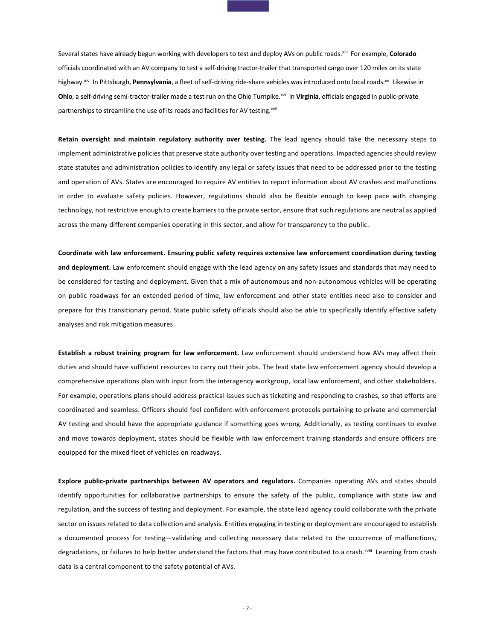Several states have already begun working with developers to test and deploy AVs on public roads.<sup>xiii</sup> For example, Colorado officials coordinated with an AV company to test a self-driving tractor-trailer that transported cargo over 120 miles on its state highway.<sup>xiv</sup> In Pittsburgh, Pennsylvania, a fleet of self-driving ride-share vehicles was introduced onto local roads.<sup>xv</sup> Likewise in Ohio, a self-driving semi-tractor-trailer made a test run on the Ohio Turnpike.<sup>xvi</sup> In Virginia, officials engaged in public-private partnerships to streamline the use of its roads and facilities for AV testing.<sup>xvii</sup>

Retain oversight and maintain regulatory authority over testing. The lead agency should take the necessary steps to implement administrative policies that preserve state authority over testing and operations. Impacted agencies should review state statutes and administration policies to identify any legal or safety issues that need to be addressed prior to the testing and operation of AVs. States are encouraged to require AV entities to report information about AV crashes and malfunctions in order to evaluate safety policies. However, regulations should also be flexible enough to keep pace with changing technology, not restrictive enough to create barriers to the private sector, ensure that such regulations are neutral as applied across the many different companies operating in this sector, and allow for transparency to the public.

Coordinate with law enforcement. Ensuring public safety requires extensive law enforcement coordination during testing and deployment. Law enforcement should engage with the lead agency on any safety issues and standards that may need to be considered for testing and deployment. Given that a mix of autonomous and non-autonomous vehicles will be operating on public roadways for an extended period of time, law enforcement and other state entities need also to consider and prepare for this transitionary period. State public safety officials should also be able to specifically identify effective safety analyses and risk mitigation measures.

Establish a robust training program for law enforcement. Law enforcement should understand how AVs may affect their duties and should have sufficient resources to carry out their jobs. The lead state law enforcement agency should develop a comprehensive operations plan with input from the interagency workgroup, local law enforcement, and other stakeholders. For example, operations plans should address practical issues such as ticketing and responding to crashes, so that efforts are coordinated and seamless. Officers should feel confident with enforcement protocols pertaining to private and commercial AV testing and should have the appropriate guidance if something goes wrong. Additionally, as testing continues to evolve and move towards deployment, states should be flexible with law enforcement training standards and ensure officers are equipped for the mixed fleet of vehicles on roadways.

Explore public-private partnerships between AV operators and regulators. Companies operating AVs and states should identify opportunities for collaborative partnerships to ensure the safety of the public, compliance with state law and regulation, and the success of testing and deployment. For example, the state lead agency could collaborate with the private sector on issues related to data collection and analysis. Entities engaging in testing or deployment are encouraged to establish a documented process for testing—validating and collecting necessary data related to the occurrence of malfunctions, degradations, or failures to help better understand the factors that may have contributed to a crash.xviii Learning from crash data is a central component to the safety potential of AVs.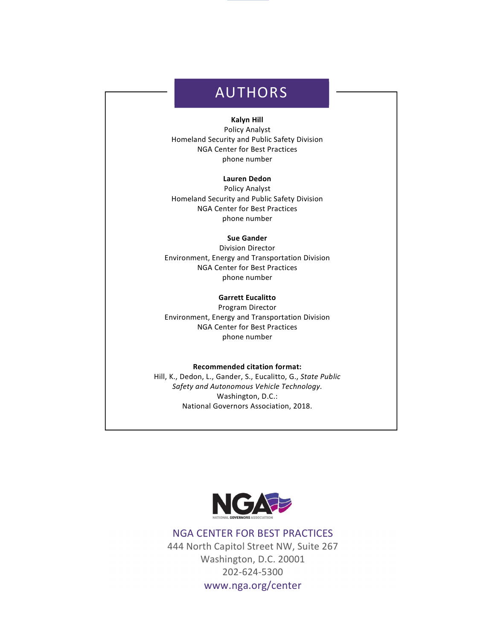## AUTHORS

### Kalyn Hill

Policy Analyst Homeland Security and Public Safety Division NGA Center for Best Practices phone number

### Lauren Dedon

Policy Analyst Homeland Security and Public Safety Division NGA Center for Best Practices phone number

#### Sue Gander

Division Director Environment, Energy and Transportation Division NGA Center for Best Practices phone number

#### Garrett Eucalitto

Program Director Environment, Energy and Transportation Division NGA Center for Best Practices phone number

### Recommended citation format:

Hill, K., Dedon, L., Gander, S., Eucalitto, G., State Public Safety and Autonomous Vehicle Technology. Washington, D.C.: National Governors Association, 2018.



## NGA CENTER FOR BEST PRACTICES

444 North Capitol Street NW, Suite 267 Washington, D.C. 20001 202-624-5300

www.nga.org/center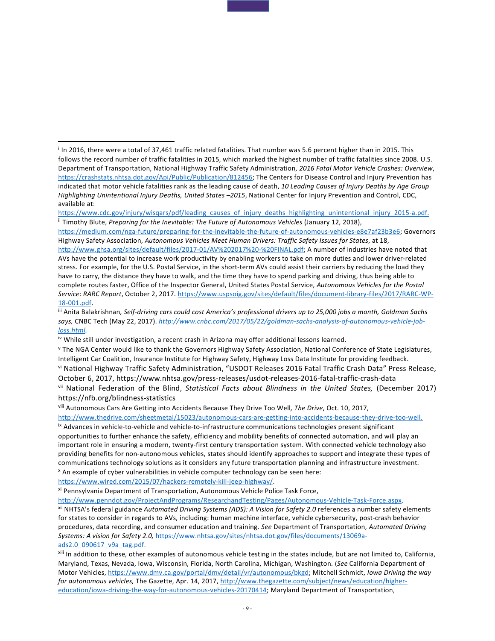vii National Federation of the Blind, Statistical Facts about Blindness in the United States, (December 2017) https://nfb.org/blindness-statistics

viii Autonomous Cars Are Getting into Accidents Because They Drive Too Well, The Drive, Oct. 10, 2017,

http://www.thedrive.com/sheetmetal/15023/autonomous-cars-are-getting-into-accidents-because-they-drive-too-well.

ix Advances in vehicle-to-vehicle and vehicle-to-infrastructure communications technologies present significant opportunities to further enhance the safety, efficiency and mobility benefits of connected automation, and will play an important role in ensuring a modern, twenty-first century transportation system. With connected vehicle technology also providing benefits for non-autonomous vehicles, states should identify approaches to support and integrate these types of communications technology solutions as it considers any future transportation planning and infrastructure investment.

<sup>x</sup> An example of cyber vulnerabilities in vehicle computer technology can be seen here:

https://www.wired.com/2015/07/hackers-remotely-kill-jeep-highway/.

j

xi Pennsylvania Department of Transportation, Autonomous Vehicle Police Task Force,

http://www.penndot.gov/ProjectAndPrograms/ResearchandTesting/Pages/Autonomous-Vehicle-Task-Force.aspx.

xii NHTSA's federal guidance Automated Driving Systems (ADS): A Vision for Safety 2.0 references a number safety elements for states to consider in regards to AVs, including: human machine interface, vehicle cybersecurity, post-crash behavior procedures, data recording, and consumer education and training. See Department of Transportation, Automated Driving Systems: A vision for Safety 2.0, https://www.nhtsa.gov/sites/nhtsa.dot.gov/files/documents/13069aads2.0\_090617\_v9a\_tag.pdf.

xiii In addition to these, other examples of autonomous vehicle testing in the states include, but are not limited to, California, Maryland, Texas, Nevada, Iowa, Wisconsin, Florida, North Carolina, Michigan, Washington. (See California Department of Motor Vehicles, https://www.dmv.ca.gov/portal/dmv/detail/vr/autonomous/bkgd; Mitchell Schmidt, Iowa Driving the way for autonomous vehicles, The Gazette, Apr. 14, 2017, http://www.thegazette.com/subject/news/education/highereducation/iowa-driving-the-way-for-autonomous-vehicles-20170414; Maryland Department of Transportation,

i In 2016, there were a total of 37,461 traffic related fatalities. That number was 5.6 percent higher than in 2015. This follows the record number of traffic fatalities in 2015, which marked the highest number of traffic fatalities since 2008. U.S. Department of Transportation, National Highway Traffic Safety Administration, 2016 Fatal Motor Vehicle Crashes: Overview, https://crashstats.nhtsa.dot.gov/Api/Public/Publication/812456; The Centers for Disease Control and Injury Prevention has indicated that motor vehicle fatalities rank as the leading cause of death, 10 Leading Causes of Injury Deaths by Age Group Highlighting Unintentional Injury Deaths, United States –2015, National Center for Injury Prevention and Control, CDC, available at:

https://www.cdc.gov/injury/wisqars/pdf/leading\_causes\_of\_injury\_deaths\_highlighting\_unintentional\_injury\_2015-a.pdf. <sup>ii</sup> Timothy Blute, Preparing for the Inevitable: The Future of Autonomous Vehicles (January 12, 2018),

https://medium.com/nga-future/preparing-for-the-inevitable-the-future-of-autonomous-vehicles-e8e7af23b3e6; Governors Highway Safety Association, Autonomous Vehicles Meet Human Drivers: Traffic Safety Issues for States, at 18,

http://www.ghsa.org/sites/default/files/2017-01/AV%202017%20-%20FINAL.pdf; A number of industries have noted that AVs have the potential to increase work productivity by enabling workers to take on more duties and lower driver-related stress. For example, for the U.S. Postal Service, in the short-term AVs could assist their carriers by reducing the load they have to carry, the distance they have to walk, and the time they have to spend parking and driving, thus being able to complete routes faster, Office of the Inspector General, United States Postal Service, Autonomous Vehicles for the Postal Service: RARC Report, October 2, 2017. https://www.uspsoig.gov/sites/default/files/document-library-files/2017/RARC-WP-18-001.pdf.

iii Anita Balakrishnan, Self-driving cars could cost America's professional drivers up to 25,000 jobs a month, Goldman Sachs says, CNBC Tech (May 22, 2017). http://www.cnbc.com/2017/05/22/goldman-sachs-analysis-of-autonomous-vehicle-jobloss.html.

iv While still under investigation, a recent crash in Arizona may offer additional lessons learned.

<sup>v</sup> The NGA Center would like to thank the Governors Highway Safety Association, National Conference of State Legislatures, Intelligent Car Coalition, Insurance Institute for Highway Safety, Highway Loss Data Institute for providing feedback. vi National Highway Traffic Safety Administration, "USDOT Releases 2016 Fatal Traffic Crash Data" Press Release, October 6, 2017, https://www.nhtsa.gov/press-releases/usdot-releases-2016-fatal-traffic-crash-data